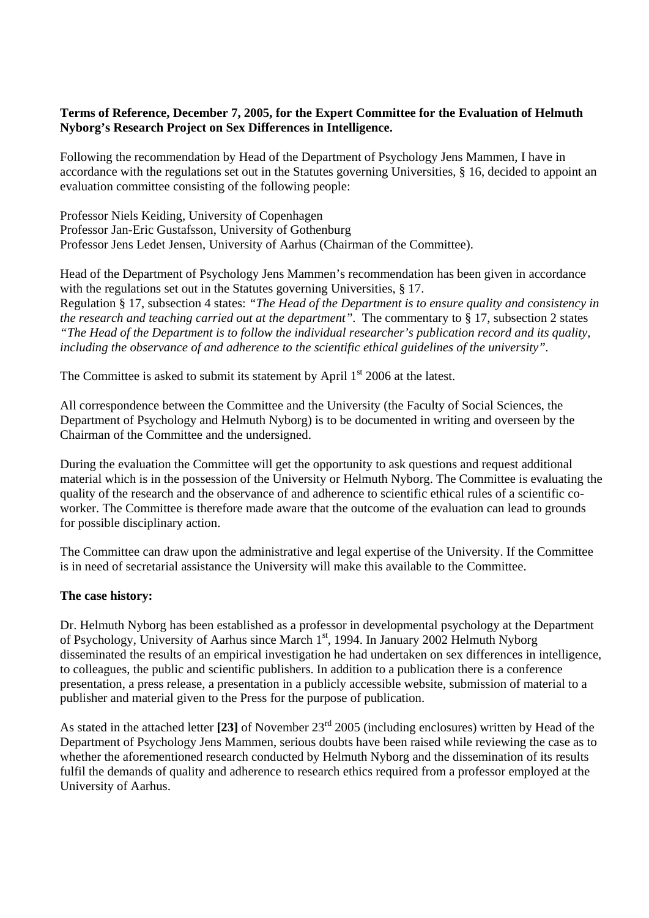## **Terms of Reference, December 7, 2005, for the Expert Committee for the Evaluation of Helmuth Nyborg's Research Project on Sex Differences in Intelligence.**

Following the recommendation by Head of the Department of Psychology Jens Mammen, I have in accordance with the regulations set out in the Statutes governing Universities, § 16, decided to appoint an evaluation committee consisting of the following people:

Professor Niels Keiding, University of Copenhagen Professor Jan-Eric Gustafsson, University of Gothenburg Professor Jens Ledet Jensen, University of Aarhus (Chairman of the Committee).

Head of the Department of Psychology Jens Mammen's recommendation has been given in accordance with the regulations set out in the Statutes governing Universities, § 17. Regulation § 17, subsection 4 states: *"The Head of the Department is to ensure quality and consistency in the research and teaching carried out at the department"*. The commentary to § 17, subsection 2 states *"The Head of the Department is to follow the individual researcher's publication record and its quality, including the observance of and adherence to the scientific ethical guidelines of the university".*

The Committee is asked to submit its statement by April  $1<sup>st</sup>$  2006 at the latest.

All correspondence between the Committee and the University (the Faculty of Social Sciences, the Department of Psychology and Helmuth Nyborg) is to be documented in writing and overseen by the Chairman of the Committee and the undersigned.

During the evaluation the Committee will get the opportunity to ask questions and request additional material which is in the possession of the University or Helmuth Nyborg. The Committee is evaluating the quality of the research and the observance of and adherence to scientific ethical rules of a scientific coworker. The Committee is therefore made aware that the outcome of the evaluation can lead to grounds for possible disciplinary action.

The Committee can draw upon the administrative and legal expertise of the University. If the Committee is in need of secretarial assistance the University will make this available to the Committee.

## **The case history:**

Dr. Helmuth Nyborg has been established as a professor in developmental psychology at the Department of Psychology, University of Aarhus since March 1<sup>st</sup>, 1994. In January 2002 Helmuth Nyborg disseminated the results of an empirical investigation he had undertaken on sex differences in intelligence, to colleagues, the public and scientific publishers. In addition to a publication there is a conference presentation, a press release, a presentation in a publicly accessible website, submission of material to a publisher and material given to the Press for the purpose of publication.

As stated in the attached letter **[23]** of November 23rd 2005 (including enclosures) written by Head of the Department of Psychology Jens Mammen, serious doubts have been raised while reviewing the case as to whether the aforementioned research conducted by Helmuth Nyborg and the dissemination of its results fulfil the demands of quality and adherence to research ethics required from a professor employed at the University of Aarhus.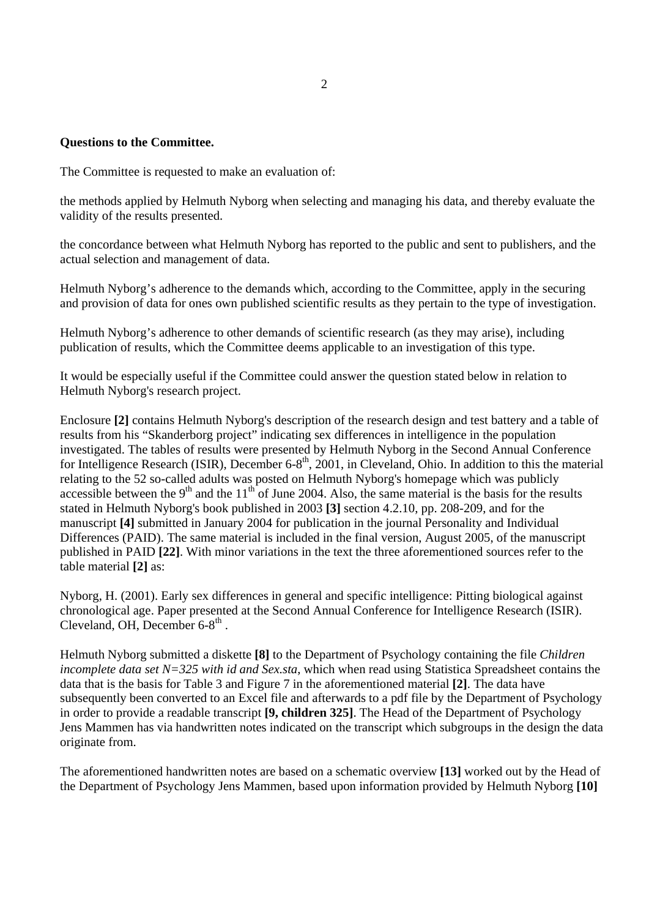## **Questions to the Committee.**

The Committee is requested to make an evaluation of:

the methods applied by Helmuth Nyborg when selecting and managing his data, and thereby evaluate the validity of the results presented.

the concordance between what Helmuth Nyborg has reported to the public and sent to publishers, and the actual selection and management of data.

Helmuth Nyborg's adherence to the demands which, according to the Committee, apply in the securing and provision of data for ones own published scientific results as they pertain to the type of investigation.

Helmuth Nyborg's adherence to other demands of scientific research (as they may arise), including publication of results, which the Committee deems applicable to an investigation of this type.

It would be especially useful if the Committee could answer the question stated below in relation to Helmuth Nyborg's research project.

Enclosure **[2]** contains Helmuth Nyborg's description of the research design and test battery and a table of results from his "Skanderborg project" indicating sex differences in intelligence in the population investigated. The tables of results were presented by Helmuth Nyborg in the Second Annual Conference for Intelligence Research (ISIR), December 6-8<sup>th</sup>, 2001, in Cleveland, Ohio. In addition to this the material relating to the 52 so-called adults was posted on Helmuth Nyborg's homepage which was publicly accessible between the 9<sup>th</sup> and the 11<sup>th</sup> of June 2004. Also, the same material is the basis for the results stated in Helmuth Nyborg's book published in 2003 **[3]** section 4.2.10, pp. 208-209, and for the manuscript **[4]** submitted in January 2004 for publication in the journal Personality and Individual Differences (PAID). The same material is included in the final version, August 2005, of the manuscript published in PAID **[22]**. With minor variations in the text the three aforementioned sources refer to the table material **[2]** as:

Nyborg, H. (2001). Early sex differences in general and specific intelligence: Pitting biological against chronological age. Paper presented at the Second Annual Conference for Intelligence Research (ISIR). Cleveland, OH, December  $6-8^{th}$ .

Helmuth Nyborg submitted a diskette **[8]** to the Department of Psychology containing the file *Children incomplete data set N=325 with id and Sex.sta*, which when read using Statistica Spreadsheet contains the data that is the basis for Table 3 and Figure 7 in the aforementioned material **[2]**. The data have subsequently been converted to an Excel file and afterwards to a pdf file by the Department of Psychology in order to provide a readable transcript **[9, children 325]**. The Head of the Department of Psychology Jens Mammen has via handwritten notes indicated on the transcript which subgroups in the design the data originate from.

The aforementioned handwritten notes are based on a schematic overview **[13]** worked out by the Head of the Department of Psychology Jens Mammen, based upon information provided by Helmuth Nyborg **[10]**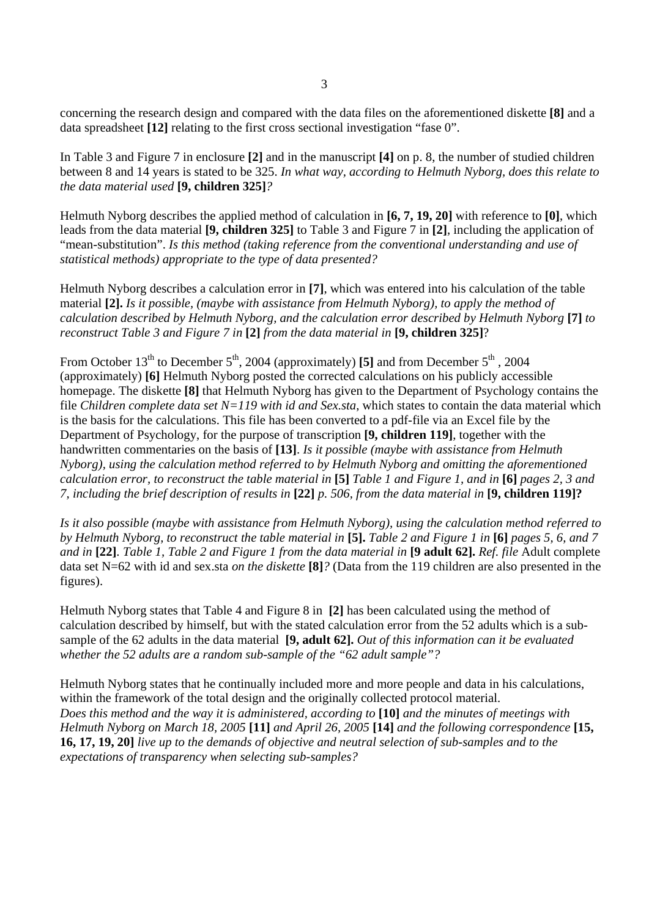concerning the research design and compared with the data files on the aforementioned diskette **[8]** and a data spreadsheet **[12]** relating to the first cross sectional investigation "fase 0".

In Table 3 and Figure 7 in enclosure **[2]** and in the manuscript **[4]** on p. 8, the number of studied children between 8 and 14 years is stated to be 325. *In what way, according to Helmuth Nyborg, does this relate to the data material used* **[9, children 325]***?* 

Helmuth Nyborg describes the applied method of calculation in **[6, 7, 19, 20]** with reference to **[0]**, which leads from the data material **[9, children 325]** to Table 3 and Figure 7 in **[2]**, including the application of "mean-substitution". *Is this method (taking reference from the conventional understanding and use of statistical methods) appropriate to the type of data presented?* 

Helmuth Nyborg describes a calculation error in **[7]**, which was entered into his calculation of the table material **[2].** *Is it possible, (maybe with assistance from Helmuth Nyborg), to apply the method of calculation described by Helmuth Nyborg, and the calculation error described by Helmuth Nyborg* **[7]** *to reconstruct Table 3 and Figure 7 in* **[2]** *from the data material in* **[9, children 325]**?

From October  $13<sup>th</sup>$  to December  $5<sup>th</sup>$ , 2004 (approximately) **[5]** and from December  $5<sup>th</sup>$ , 2004 (approximately) **[6]** Helmuth Nyborg posted the corrected calculations on his publicly accessible homepage. The diskette **[8]** that Helmuth Nyborg has given to the Department of Psychology contains the file *Children complete data set N=119 with id and Sex.sta*, which states to contain the data material which is the basis for the calculations. This file has been converted to a pdf-file via an Excel file by the Department of Psychology, for the purpose of transcription **[9, children 119]**, together with the handwritten commentaries on the basis of **[13]**. *Is it possible (maybe with assistance from Helmuth Nyborg), using the calculation method referred to by Helmuth Nyborg and omitting the aforementioned calculation error, to reconstruct the table material in* **[5]** *Table 1 and Figure 1, and in* **[6]** *pages 2, 3 and 7, including the brief description of results in* **[22]** *p. 506, from the data material in* **[9, children 119]?** 

*Is it also possible (maybe with assistance from Helmuth Nyborg), using the calculation method referred to by Helmuth Nyborg, to reconstruct the table material in* **[5].** *Table 2 and Figure 1 in* **[6]** *pages 5, 6, and 7 and in* **[22]***. Table 1, Table 2 and Figure 1 from the data material in* **[9 adult 62].** *Ref. file* Adult complete data set N=62 with id and sex.sta *on the diskette* **[8]***?* (Data from the 119 children are also presented in the figures).

Helmuth Nyborg states that Table 4 and Figure 8 in **[2]** has been calculated using the method of calculation described by himself, but with the stated calculation error from the 52 adults which is a subsample of the 62 adults in the data material **[9, adult 62].** *Out of this information can it be evaluated whether the 52 adults are a random sub-sample of the "62 adult sample"?* 

Helmuth Nyborg states that he continually included more and more people and data in his calculations, within the framework of the total design and the originally collected protocol material. *Does this method and the way it is administered, according to* **[10]** *and the minutes of meetings with Helmuth Nyborg on March 18, 2005* **[11]** *and April 26, 2005* **[14]** *and the following correspondence* **[15, 16, 17, 19, 20]** *live up to the demands of objective and neutral selection of sub-samples and to the expectations of transparency when selecting sub-samples?*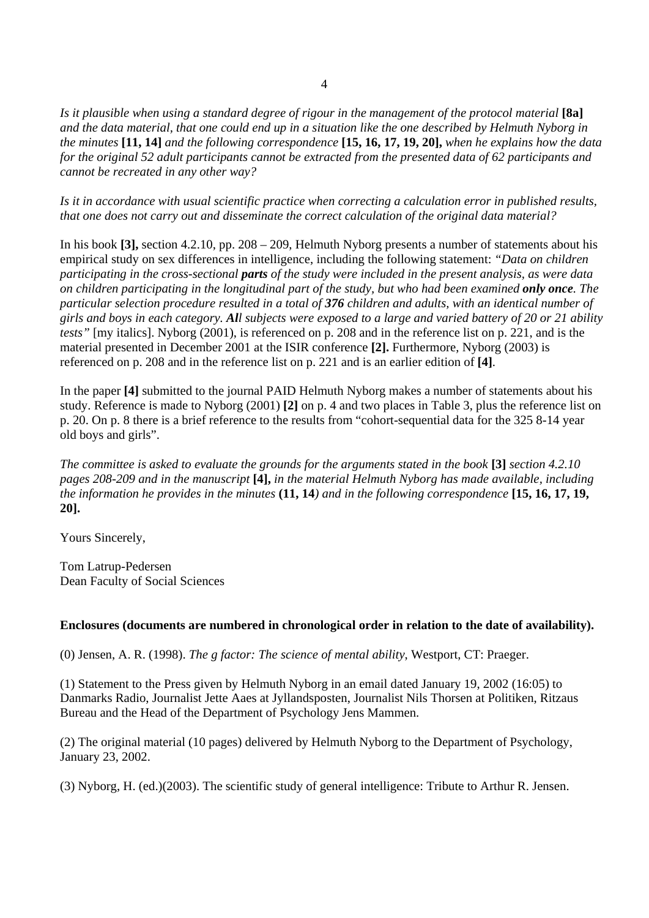*Is it plausible when using a standard degree of rigour in the management of the protocol material* **[8a]** *and the data material, that one could end up in a situation like the one described by Helmuth Nyborg in the minutes* **[11, 14]** *and the following correspondence* **[15, 16, 17, 19, 20],** *when he explains how the data for the original 52 adult participants cannot be extracted from the presented data of 62 participants and cannot be recreated in any other way?* 

*Is it in accordance with usual scientific practice when correcting a calculation error in published results, that one does not carry out and disseminate the correct calculation of the original data material?* 

In his book **[3],** section 4.2.10, pp. 208 – 209, Helmuth Nyborg presents a number of statements about his empirical study on sex differences in intelligence, including the following statement: *"Data on children participating in the cross-sectional parts of the study were included in the present analysis, as were data on children participating in the longitudinal part of the study, but who had been examined only once. The particular selection procedure resulted in a total of 376 children and adults, with an identical number of girls and boys in each category. All subjects were exposed to a large and varied battery of 20 or 21 ability tests"* [my italics]. Nyborg (2001), is referenced on p. 208 and in the reference list on p. 221, and is the material presented in December 2001 at the ISIR conference **[2].** Furthermore, Nyborg (2003) is referenced on p. 208 and in the reference list on p. 221 and is an earlier edition of **[4]**.

In the paper **[4]** submitted to the journal PAID Helmuth Nyborg makes a number of statements about his study. Reference is made to Nyborg (2001) **[2]** on p. 4 and two places in Table 3, plus the reference list on p. 20. On p. 8 there is a brief reference to the results from "cohort-sequential data for the 325 8-14 year old boys and girls".

*The committee is asked to evaluate the grounds for the arguments stated in the book* **[3]** *section 4.2.10 pages 208-209 and in the manuscript* **[4],** *in the material Helmuth Nyborg has made available, including the information he provides in the minutes* **(11, 14***) and in the following correspondence* **[15, 16, 17, 19, 20].** 

Yours Sincerely,

Tom Latrup-Pedersen Dean Faculty of Social Sciences

## **Enclosures (documents are numbered in chronological order in relation to the date of availability).**

(0) Jensen, A. R. (1998). *The g factor: The science of mental ability*, Westport, CT: Praeger.

(1) Statement to the Press given by Helmuth Nyborg in an email dated January 19, 2002 (16:05) to Danmarks Radio, Journalist Jette Aaes at Jyllandsposten, Journalist Nils Thorsen at Politiken, Ritzaus Bureau and the Head of the Department of Psychology Jens Mammen.

(2) The original material (10 pages) delivered by Helmuth Nyborg to the Department of Psychology, January 23, 2002.

(3) Nyborg, H. (ed.)(2003). The scientific study of general intelligence: Tribute to Arthur R. Jensen.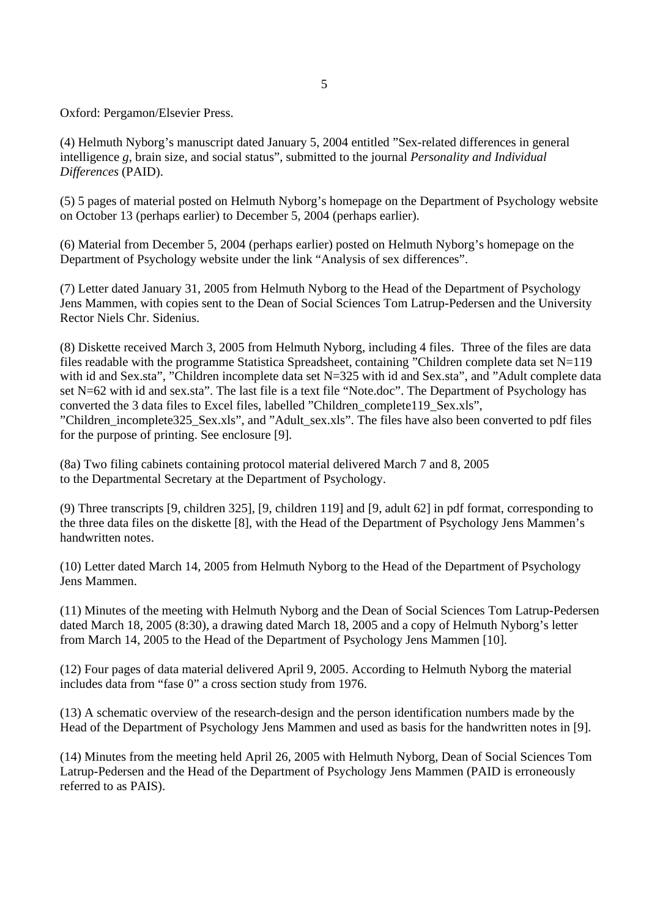5

Oxford: Pergamon/Elsevier Press.

(4) Helmuth Nyborg's manuscript dated January 5, 2004 entitled "Sex-related differences in general intelligence *g*, brain size, and social status", submitted to the journal *Personality and Individual Differences* (PAID).

(5) 5 pages of material posted on Helmuth Nyborg's homepage on the Department of Psychology website on October 13 (perhaps earlier) to December 5, 2004 (perhaps earlier).

(6) Material from December 5, 2004 (perhaps earlier) posted on Helmuth Nyborg's homepage on the Department of Psychology website under the link "Analysis of sex differences".

(7) Letter dated January 31, 2005 from Helmuth Nyborg to the Head of the Department of Psychology Jens Mammen, with copies sent to the Dean of Social Sciences Tom Latrup-Pedersen and the University Rector Niels Chr. Sidenius.

(8) Diskette received March 3, 2005 from Helmuth Nyborg, including 4 files. Three of the files are data files readable with the programme Statistica Spreadsheet, containing "Children complete data set N=119 with id and Sex.sta", "Children incomplete data set N=325 with id and Sex.sta", and "Adult complete data set N=62 with id and sex.sta". The last file is a text file "Note.doc". The Department of Psychology has converted the 3 data files to Excel files, labelled "Children\_complete119\_Sex.xls", "Children\_incomplete325\_Sex.xls", and "Adult\_sex.xls". The files have also been converted to pdf files for the purpose of printing. See enclosure [9].

(8a) Two filing cabinets containing protocol material delivered March 7 and 8, 2005 to the Departmental Secretary at the Department of Psychology.

(9) Three transcripts [9, children 325], [9, children 119] and [9, adult 62] in pdf format, corresponding to the three data files on the diskette [8], with the Head of the Department of Psychology Jens Mammen's handwritten notes.

(10) Letter dated March 14, 2005 from Helmuth Nyborg to the Head of the Department of Psychology Jens Mammen.

(11) Minutes of the meeting with Helmuth Nyborg and the Dean of Social Sciences Tom Latrup-Pedersen dated March 18, 2005 (8:30), a drawing dated March 18, 2005 and a copy of Helmuth Nyborg's letter from March 14, 2005 to the Head of the Department of Psychology Jens Mammen [10].

(12) Four pages of data material delivered April 9, 2005. According to Helmuth Nyborg the material includes data from "fase 0" a cross section study from 1976.

(13) A schematic overview of the research-design and the person identification numbers made by the Head of the Department of Psychology Jens Mammen and used as basis for the handwritten notes in [9].

(14) Minutes from the meeting held April 26, 2005 with Helmuth Nyborg, Dean of Social Sciences Tom Latrup-Pedersen and the Head of the Department of Psychology Jens Mammen (PAID is erroneously referred to as PAIS).